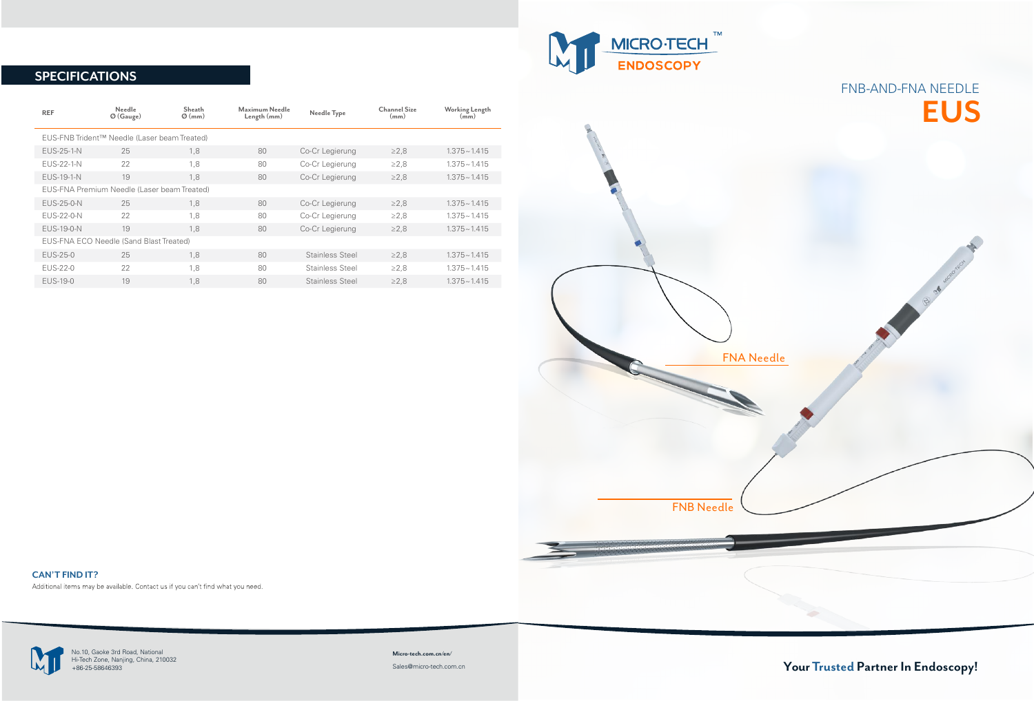## **EUS** FNB-AND-FNA NEEDLE

B of wagonan

**CAN'T FIND IT?** Additional items may be available. Contact us if you can't find what you need.





## **SPECIFICATIONS**

| <b>REF</b>                                   | <b>Needle</b><br>$\emptyset$ (Gauge) | Sheath<br>$\varnothing$ (mm) | Maximum Needle<br>Length (mm) | Needle Type            | <b>Channel Size</b><br>(mm) | <b>Working Length</b><br>(mm) |
|----------------------------------------------|--------------------------------------|------------------------------|-------------------------------|------------------------|-----------------------------|-------------------------------|
| EUS-FNB Trident™ Needle (Laser beam Treated) |                                      |                              |                               |                        |                             |                               |
| <b>EUS-25-1-N</b>                            | 25                                   | 1,8                          | 80                            | Co-Cr Legierung        | $\geq$ 2.8                  | $1.375 \sim 1.415$            |
| <b>EUS-22-1-N</b>                            | 22                                   | 1,8                          | 80                            | Co-Cr Legierung        | $\geq$ 2.8                  | $1.375 - 1.415$               |
| <b>EUS-19-1-N</b>                            | 19                                   | 1,8                          | 80                            | Co-Cr Legierung        | $\geq$ 2,8                  | $1.375 - 1.415$               |
| EUS-FNA Premium Needle (Laser beam Treated)  |                                      |                              |                               |                        |                             |                               |
| <b>EUS-25-0-N</b>                            | 25                                   | 1,8                          | 80                            | Co-Cr Legierung        | $\geq$ 2.8                  | $1.375 - 1.415$               |
| EUS-22-0-N                                   | 22                                   | 1,8                          | 80                            | Co-Cr Legierung        | $\geq$ 2.8                  | $1.375 - 1.415$               |
| <b>EUS-19-0-N</b>                            | 19                                   | 1.8                          | 80                            | Co-Cr Legierung        | $\geq$ 2.8                  | $1.375 - 1.415$               |
| EUS-FNA ECO Needle (Sand Blast Treated)      |                                      |                              |                               |                        |                             |                               |
| EUS-25-0                                     | 25                                   | 1,8                          | 80                            | Stainless Steel        | $\geq$ 2.8                  | $1.375 \sim 1.415$            |
| EUS-22-0                                     | 22                                   | 1.8                          | 80                            | Stainless Steel        | $\geq$ 2,8                  | $1.375 - 1.415$               |
| EUS-19-0                                     | 19                                   | 1,8                          | 80                            | <b>Stainless Steel</b> | $\geq$ 2.8                  | $1.375 - 1.415$               |

**Micro-tech.com.cn/en/** Sales@micro-tech.com.cn

No.10, Gaoke 3rd Road, National +86-25-58646393